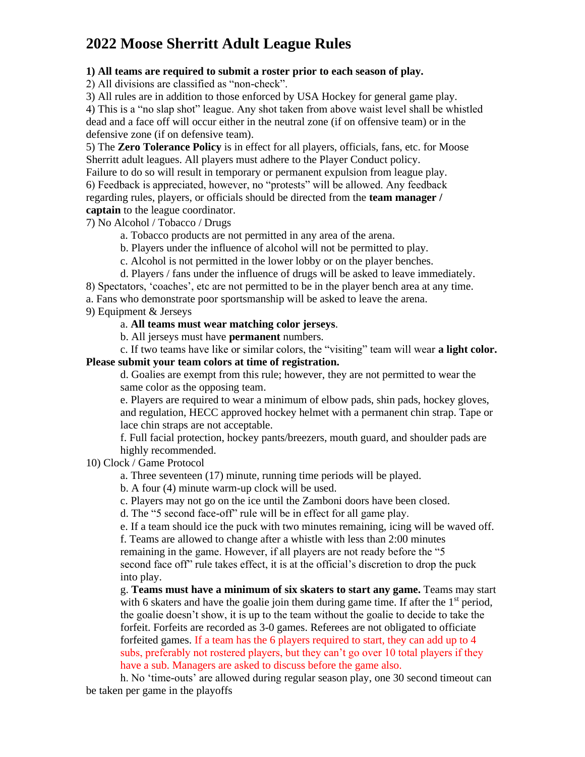# **2022 Moose Sherritt Adult League Rules**

## **1) All teams are required to submit a roster prior to each season of play.**

2) All divisions are classified as "non-check".

3) All rules are in addition to those enforced by USA Hockey for general game play.

4) This is a "no slap shot" league. Any shot taken from above waist level shall be whistled dead and a face off will occur either in the neutral zone (if on offensive team) or in the defensive zone (if on defensive team).

5) The **Zero Tolerance Policy** is in effect for all players, officials, fans, etc. for Moose Sherritt adult leagues. All players must adhere to the Player Conduct policy.

Failure to do so will result in temporary or permanent expulsion from league play. 6) Feedback is appreciated, however, no "protests" will be allowed. Any feedback regarding rules, players, or officials should be directed from the **team manager / captain** to the league coordinator.

7) No Alcohol / Tobacco / Drugs

a. Tobacco products are not permitted in any area of the arena.

b. Players under the influence of alcohol will not be permitted to play.

c. Alcohol is not permitted in the lower lobby or on the player benches.

d. Players / fans under the influence of drugs will be asked to leave immediately.

8) Spectators, 'coaches', etc are not permitted to be in the player bench area at any time.

a. Fans who demonstrate poor sportsmanship will be asked to leave the arena.

9) Equipment & Jerseys

### a. **All teams must wear matching color jerseys**.

b. All jerseys must have **permanent** numbers.

c. If two teams have like or similar colors, the "visiting" team will wear **a light color.** 

## **Please submit your team colors at time of registration.**

d. Goalies are exempt from this rule; however, they are not permitted to wear the same color as the opposing team.

e. Players are required to wear a minimum of elbow pads, shin pads, hockey gloves, and regulation, HECC approved hockey helmet with a permanent chin strap. Tape or lace chin straps are not acceptable.

f. Full facial protection, hockey pants/breezers, mouth guard, and shoulder pads are highly recommended.

10) Clock / Game Protocol

a. Three seventeen (17) minute, running time periods will be played.

b. A four (4) minute warm-up clock will be used.

c. Players may not go on the ice until the Zamboni doors have been closed.

d. The "5 second face-off" rule will be in effect for all game play.

e. If a team should ice the puck with two minutes remaining, icing will be waved off.

f. Teams are allowed to change after a whistle with less than 2:00 minutes

remaining in the game. However, if all players are not ready before the "5

second face off" rule takes effect, it is at the official's discretion to drop the puck into play.

g. **Teams must have a minimum of six skaters to start any game.** Teams may start with 6 skaters and have the goalie join them during game time. If after the  $1<sup>st</sup>$  period, the goalie doesn't show, it is up to the team without the goalie to decide to take the forfeit. Forfeits are recorded as 3-0 games. Referees are not obligated to officiate forfeited games. If a team has the 6 players required to start, they can add up to 4 subs, preferably not rostered players, but they can't go over 10 total players if they have a sub. Managers are asked to discuss before the game also.

h. No 'time-outs' are allowed during regular season play, one 30 second timeout can be taken per game in the playoffs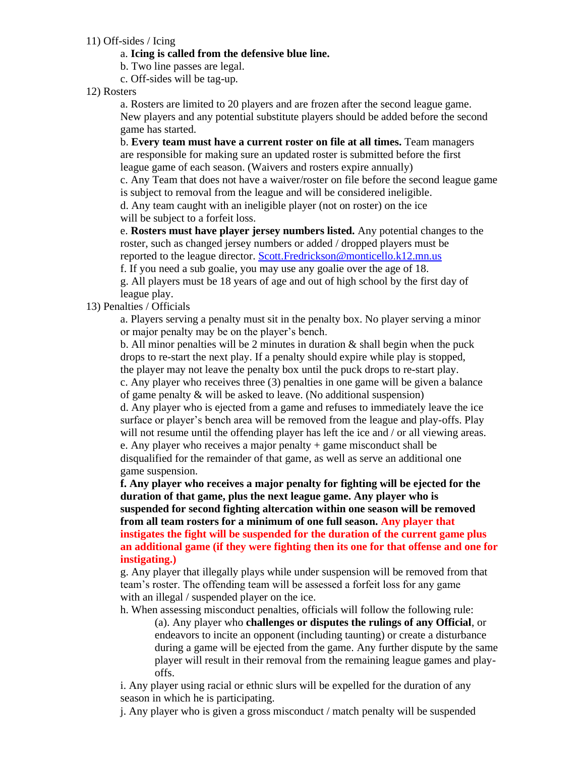11) Off-sides / Icing

#### a. **Icing is called from the defensive blue line.**

b. Two line passes are legal.

c. Off-sides will be tag-up.

### 12) Rosters

a. Rosters are limited to 20 players and are frozen after the second league game. New players and any potential substitute players should be added before the second game has started.

b. **Every team must have a current roster on file at all times.** Team managers are responsible for making sure an updated roster is submitted before the first league game of each season. (Waivers and rosters expire annually)

c. Any Team that does not have a waiver/roster on file before the second league game is subject to removal from the league and will be considered ineligible.

d. Any team caught with an ineligible player (not on roster) on the ice will be subject to a forfeit loss.

e. **Rosters must have player jersey numbers listed.** Any potential changes to the roster, such as changed jersey numbers or added / dropped players must be reported to the league director. [Scott.Fredrickson@monticello.k12.mn.us](mailto:Scott.Fredrickson@monticello.k12.mn.us)

f. If you need a sub goalie, you may use any goalie over the age of 18. g. All players must be 18 years of age and out of high school by the first day of league play.

## 13) Penalties / Officials

a. Players serving a penalty must sit in the penalty box. No player serving a minor or major penalty may be on the player's bench.

b. All minor penalties will be 2 minutes in duration  $\&$  shall begin when the puck drops to re-start the next play. If a penalty should expire while play is stopped, the player may not leave the penalty box until the puck drops to re-start play.

c. Any player who receives three (3) penalties in one game will be given a balance of game penalty & will be asked to leave. (No additional suspension)

d. Any player who is ejected from a game and refuses to immediately leave the ice surface or player's bench area will be removed from the league and play-offs. Play will not resume until the offending player has left the ice and / or all viewing areas. e. Any player who receives a major penalty + game misconduct shall be disqualified for the remainder of that game, as well as serve an additional one game suspension.

**f. Any player who receives a major penalty for fighting will be ejected for the duration of that game, plus the next league game. Any player who is suspended for second fighting altercation within one season will be removed from all team rosters for a minimum of one full season. Any player that instigates the fight will be suspended for the duration of the current game plus an additional game (if they were fighting then its one for that offense and one for instigating.)**

g. Any player that illegally plays while under suspension will be removed from that team's roster. The offending team will be assessed a forfeit loss for any game with an illegal / suspended player on the ice.

h. When assessing misconduct penalties, officials will follow the following rule:

(a). Any player who **challenges or disputes the rulings of any Official**, or endeavors to incite an opponent (including taunting) or create a disturbance during a game will be ejected from the game. Any further dispute by the same player will result in their removal from the remaining league games and playoffs.

i. Any player using racial or ethnic slurs will be expelled for the duration of any season in which he is participating.

j. Any player who is given a gross misconduct / match penalty will be suspended